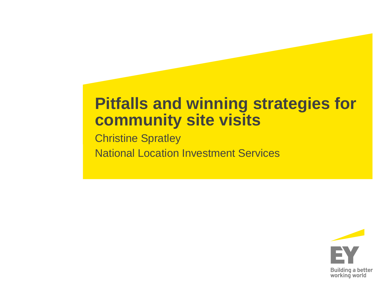#### **Pitfalls and winning strategies for community site visits**

**Christine Spratley** National Location Investment Services

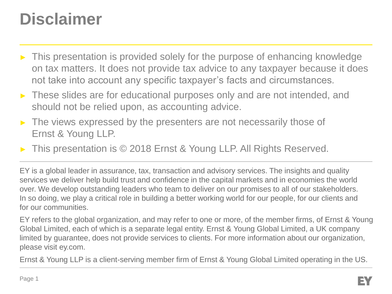## **Disclaimer**

- This presentation is provided solely for the purpose of enhancing knowledge on tax matters. It does not provide tax advice to any taxpayer because it does not take into account any specific taxpayer's facts and circumstances.
- ► These slides are for educational purposes only and are not intended, and should not be relied upon, as accounting advice.
- The views expressed by the presenters are not necessarily those of Ernst & Young LLP.
- This presentation is © 2018 Ernst & Young LLP. All Rights Reserved.

EY is a global leader in assurance, tax, transaction and advisory services. The insights and quality services we deliver help build trust and confidence in the capital markets and in economies the world over. We develop outstanding leaders who team to deliver on our promises to all of our stakeholders. In so doing, we play a critical role in building a better working world for our people, for our clients and for our communities.

EY refers to the global organization, and may refer to one or more, of the member firms, of Ernst & Young Global Limited, each of which is a separate legal entity. Ernst & Young Global Limited, a UK company limited by guarantee, does not provide services to clients. For more information about our organization, please visit ey.com.

Ernst & Young LLP is a client-serving member firm of Ernst & Young Global Limited operating in the US.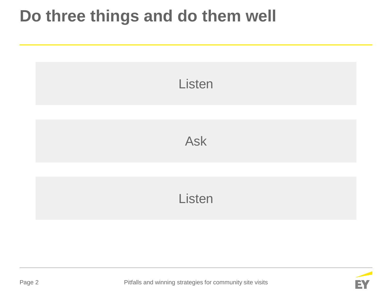## **Do three things and do them well**



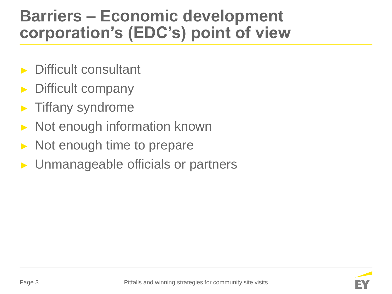#### **Barriers – Economic development corporation's (EDC's) point of view**

- Difficult consultant
- Difficult company
- Tiffany syndrome
- Not enough information known
- Not enough time to prepare
- ► Unmanageable officials or partners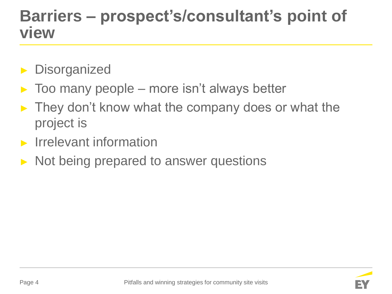#### **Barriers – prospect's/consultant's point of view**

- **Disorganized**
- $\triangleright$  Too many people more isn't always better
- They don't know what the company does or what the project is
- ► Irrelevant information
- Not being prepared to answer questions

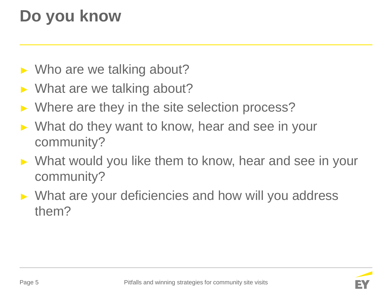# **Do you know**

- ► Who are we talking about?
- $\triangleright$  What are we talking about?
- ► Where are they in the site selection process?
- ► What do they want to know, hear and see in your community?
- ► What would you like them to know, hear and see in your community?
- ► What are your deficiencies and how will you address them?

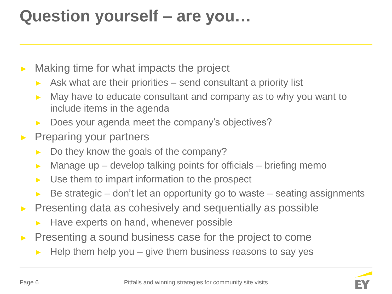## **Question yourself – are you…**

- Making time for what impacts the project
	- $\triangleright$  Ask what are their priorities send consultant a priority list
	- ► May have to educate consultant and company as to why you want to include items in the agenda
	- ► Does your agenda meet the company's objectives?
- Preparing your partners
	- Do they know the goals of the company?
	- $\triangleright$  Manage up develop talking points for officials briefing memo
	- $\triangleright$  Use them to impart information to the prospect
	- Be strategic don't let an opportunity go to waste seating assignments
- ► Presenting data as cohesively and sequentially as possible
	- ► Have experts on hand, whenever possible
- ► Presenting a sound business case for the project to come
	- Help them help you give them business reasons to say yes

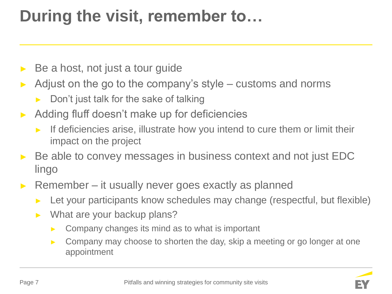# **During the visit, remember to…**

- Be a host, not just a tour guide
- Adjust on the go to the company's style  $-$  customs and norms
	- Don't just talk for the sake of talking
- ► Adding fluff doesn't make up for deficiencies
	- If deficiencies arise, illustrate how you intend to cure them or limit their impact on the project
- ► Be able to convey messages in business context and not just EDC lingo
- ► Remember it usually never goes exactly as planned
	- Let your participants know schedules may change (respectful, but flexible)
	- ► What are your backup plans?
		- $\triangleright$  Company changes its mind as to what is important
		- ► Company may choose to shorten the day, skip a meeting or go longer at one appointment

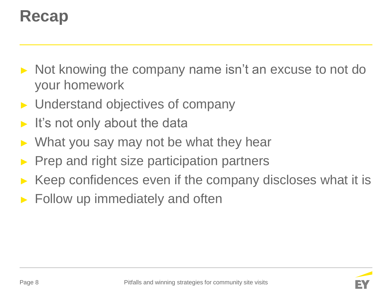## **Recap**

- ► Not knowing the company name isn't an excuse to not do your homework
- Understand objectives of company
- It's not only about the data
- What you say may not be what they hear
- Prep and right size participation partners
- Keep confidences even if the company discloses what it is
- Follow up immediately and often

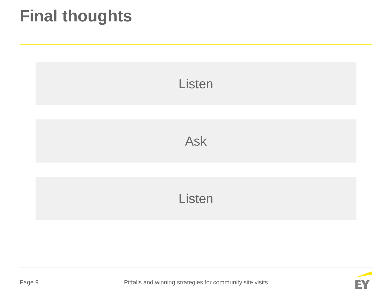## **Final thoughts**